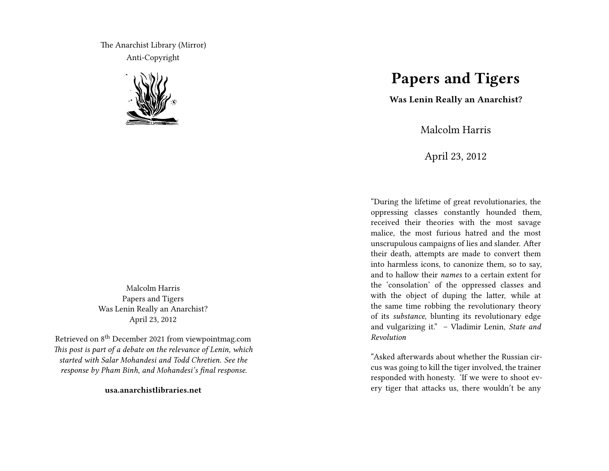The Anarchist Library (Mirror) Anti-Copyright



Malcolm Harris Papers and Tigers Was Lenin Really an Anarchist? April 23, 2012

Retrieved on 8th December 2021 from viewpointmag.com *This post is part of a debate on the relevance of Lenin, which started with Salar Mohandesi and Todd Chretien. See the response by Pham Binh, and Mohandesi's final response.*

**usa.anarchistlibraries.net**

## **Papers and Tigers**

**Was Lenin Really an Anarchist?**

Malcolm Harris

April 23, 2012

"During the lifetime of great revolutionaries, the oppressing classes constantly hounded them, received their theories with the most savage malice, the most furious hatred and the most unscrupulous campaigns of lies and slander. After their death, attempts are made to convert them into harmless icons, to canonize them, so to say, and to hallow their *names* to a certain extent for the 'consolation' of the oppressed classes and with the object of duping the latter, while at the same time robbing the revolutionary theory of its *substance*, blunting its revolutionary edge and vulgarizing it." – Vladimir Lenin, *State and Revolution*

"Asked afterwards about whether the Russian circus was going to kill the tiger involved, the trainer responded with honesty. 'If we were to shoot every tiger that attacks us, there wouldn't be any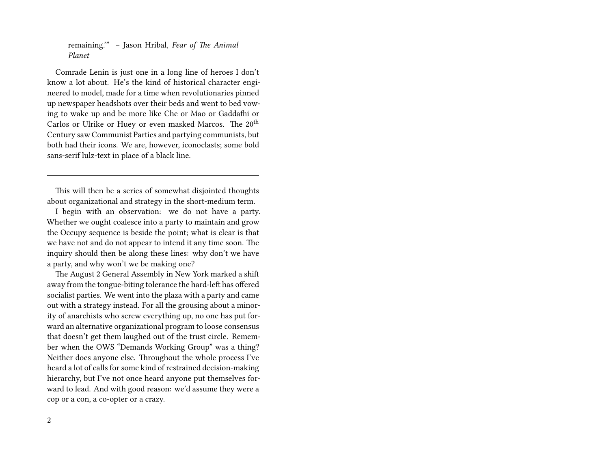remaining.'" – Jason Hribal, *Fear of The Animal Planet*

Comrade Lenin is just one in a long line of heroes I don't know a lot about. He's the kind of historical character engineered to model, made for a time when revolutionaries pinned up newspaper headshots over their beds and went to bed vowing to wake up and be more like Che or Mao or Gaddafhi or Carlos or Ulrike or Huey or even masked Marcos. The 20<sup>th</sup> Century saw Communist Parties and partying communists, but both had their icons. We are, however, iconoclasts; some bold sans-serif lulz-text in place of a black line.

This will then be a series of somewhat disjointed thoughts about organizational and strategy in the short-medium term.

I begin with an observation: we do not have a party. Whether we ought coalesce into a party to maintain and grow the Occupy sequence is beside the point; what is clear is that we have not and do not appear to intend it any time soon. The inquiry should then be along these lines: why don't we have a party, and why won't we be making one?

The August 2 General Assembly in New York marked a shift away from the tongue-biting tolerance the hard-left has offered socialist parties. We went into the plaza with a party and came out with a strategy instead. For all the grousing about a minority of anarchists who screw everything up, no one has put forward an alternative organizational program to loose consensus that doesn't get them laughed out of the trust circle. Remember when the OWS "Demands Working Group" was a thing? Neither does anyone else. Throughout the whole process I've heard a lot of calls for some kind of restrained decision-making hierarchy, but I've not once heard anyone put themselves forward to lead. And with good reason: we'd assume they were a cop or a con, a co-opter or a crazy.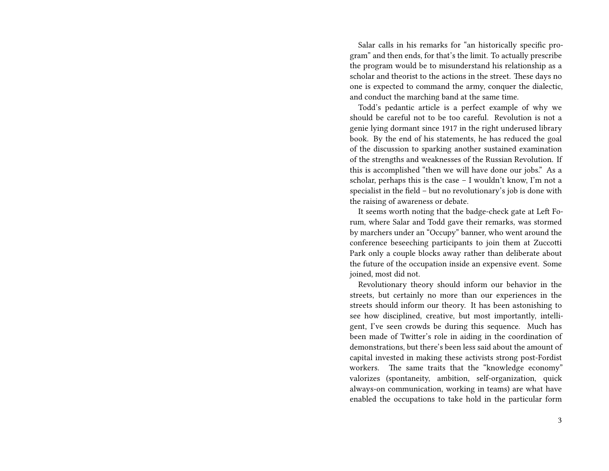Salar calls in his remarks for "an historically specific program" and then ends, for that's the limit. To actually prescribe the program would be to misunderstand his relationship as a scholar and theorist to the actions in the street. These days no one is expected to command the army, conquer the dialectic, and conduct the marching band at the same time.

Todd's pedantic article is a perfect example of why we should be careful not to be too careful. Revolution is not a genie lying dormant since 1917 in the right underused library book. By the end of his statements, he has reduced the goal of the discussion to sparking another sustained examination of the strengths and weaknesses of the Russian Revolution. If this is accomplished "then we will have done our jobs." As a scholar, perhaps this is the case – I wouldn't know, I'm not a specialist in the field – but no revolutionary's job is done with the raising of awareness or debate.

It seems worth noting that the badge-check gate at Left Forum, where Salar and Todd gave their remarks, was stormed by marchers under an "Occupy" banner, who went around the conference beseeching participants to join them at Zuccotti Park only a couple blocks away rather than deliberate about the future of the occupation inside an expensive event. Some joined, most did not.

Revolutionary theory should inform our behavior in the streets, but certainly no more than our experiences in the streets should inform our theory. It has been astonishing to see how disciplined, creative, but most importantly, intelligent, I've seen crowds be during this sequence. Much has been made of Twitter's role in aiding in the coordination of demonstrations, but there's been less said about the amount of capital invested in making these activists strong post-Fordist workers. The same traits that the "knowledge economy" valorizes (spontaneity, ambition, self-organization, quick always-on communication, working in teams) are what have enabled the occupations to take hold in the particular form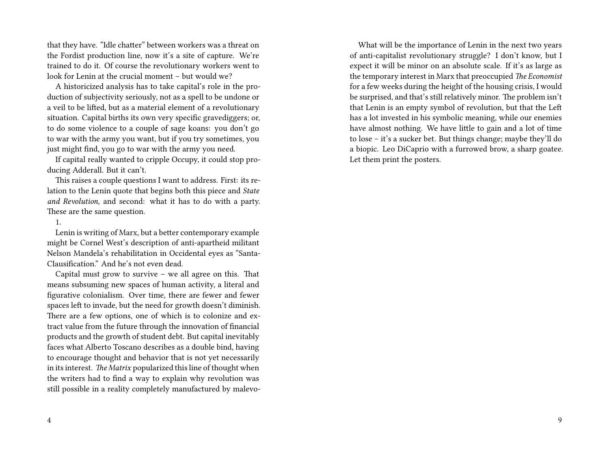that they have. "Idle chatter" between workers was a threat on the Fordist production line, now it's a site of capture. We're trained to do it. Of course the revolutionary workers went to look for Lenin at the crucial moment – but would we?

A historicized analysis has to take capital's role in the production of subjectivity seriously, not as a spell to be undone or a veil to be lifted, but as a material element of a revolutionary situation. Capital births its own very specific gravediggers; or, to do some violence to a couple of sage koans: you don't go to war with the army you want, but if you try sometimes, you just might find, you go to war with the army you need.

If capital really wanted to cripple Occupy, it could stop producing Adderall. But it can't.

This raises a couple questions I want to address. First: its relation to the Lenin quote that begins both this piece and *State and Revolution*, and second: what it has to do with a party. These are the same question.

## 1.

Lenin is writing of Marx, but a better contemporary example might be Cornel West's description of anti-apartheid militant Nelson Mandela's rehabilitation in Occidental eyes as "Santa-Clausification." And he's not even dead.

Capital must grow to survive – we all agree on this. That means subsuming new spaces of human activity, a literal and figurative colonialism. Over time, there are fewer and fewer spaces left to invade, but the need for growth doesn't diminish. There are a few options, one of which is to colonize and extract value from the future through the innovation of financial products and the growth of student debt. But capital inevitably faces what Alberto Toscano describes as a double bind, having to encourage thought and behavior that is not yet necessarily in its interest. *The Matrix* popularized this line of thought when the writers had to find a way to explain why revolution was still possible in a reality completely manufactured by malevo-

What will be the importance of Lenin in the next two years of anti-capitalist revolutionary struggle? I don't know, but I expect it will be minor on an absolute scale. If it's as large as the temporary interest in Marx that preoccupied *The Economist* for a few weeks during the height of the housing crisis, I would be surprised, and that's still relatively minor. The problem isn't that Lenin is an empty symbol of revolution, but that the Left has a lot invested in his symbolic meaning, while our enemies have almost nothing. We have little to gain and a lot of time to lose – it's a sucker bet. But things change; maybe they'll do a biopic. Leo DiCaprio with a furrowed brow, a sharp goatee. Let them print the posters.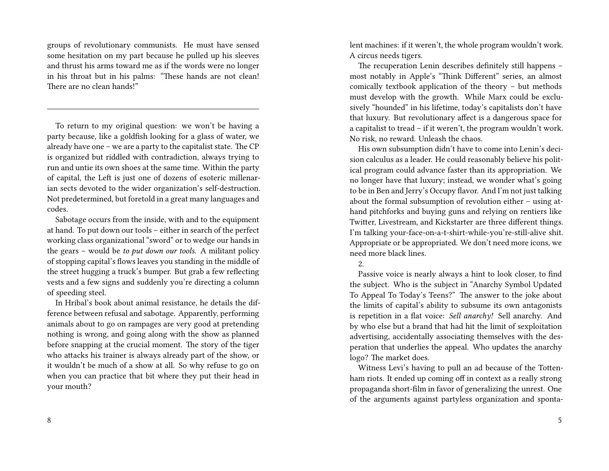groups of revolutionary communists. He must have sensed some hesitation on my part because he pulled up his sleeves and thrust his arms toward me as if the words were no longer in his throat but in his palms: "These hands are not clean! There are no clean hands!"

To return to my original question: we won't be having a party because, like a goldfish looking for a glass of water, we already have one – we are a party to the capitalist state. The CP is organized but riddled with contradiction, always trying to run and untie its own shoes at the same time. Within the party of capital, the Left is just one of dozens of esoteric millenarian sects devoted to the wider organization's self-destruction. Not predetermined, but foretold in a great many languages and codes.

Sabotage occurs from the inside, with and to the equipment at hand. To put down our tools – either in search of the perfect working class organizational "sword" or to wedge our hands in the gears – would be *to put down our tools*. A militant policy of stopping capital's flows leaves you standing in the middle of the street hugging a truck's bumper. But grab a few reflecting vests and a few signs and suddenly you're directing a column of speeding steel.

In Hribal's book about animal resistance, he details the difference between refusal and sabotage. Apparently, performing animals about to go on rampages are very good at pretending nothing is wrong, and going along with the show as planned before snapping at the crucial moment. The story of the tiger who attacks his trainer is always already part of the show, or it wouldn't be much of a show at all. So why refuse to go on when you can practice that bit where they put their head in your mouth?

8

lent machines: if it weren't, the whole program wouldn't work. A circus needs tigers.

The recuperation Lenin describes definitely still happens – most notably in Apple's "Think Different" series, an almost comically textbook application of the theory – but methods must develop with the growth. While Marx could be exclusively "hounded" in his lifetime, today's capitalists don't have that luxury. But revolutionary affect is a dangerous space for a capitalist to tread – if it weren't, the program wouldn't work. No risk, no reward. Unleash the chaos.

His own subsumption didn't have to come into Lenin's decision calculus as a leader. He could reasonably believe his political program could advance faster than its appropriation. We no longer have that luxury; instead, we wonder what's going to be in Ben and Jerry's Occupy flavor. And I'm not just talking about the formal subsumption of revolution either – using athand pitchforks and buying guns and relying on rentiers like Twitter, Livestream, and Kickstarter are three different things. I'm talking your-face-on-a-t-shirt-while-you're-still-alive shit. Appropriate or be appropriated. We don't need more icons, we need more black lines.

## 2.

Passive voice is nearly always a hint to look closer, to find the subject. Who is the subject in "Anarchy Symbol Updated To Appeal To Today's Teens?" The answer to the joke about the limits of capital's ability to subsume its own antagonists is repetition in a flat voice: *Sell anarchy!* Sell anarchy. And by who else but a brand that had hit the limit of sexploitation advertising, accidentally associating themselves with the desperation that underlies the appeal. Who updates the anarchy logo? The market does.

Witness Levi's having to pull an ad because of the Tottenham riots. It ended up coming off in context as a really strong propaganda short-film in favor of generalizing the unrest. One of the arguments against partyless organization and sponta